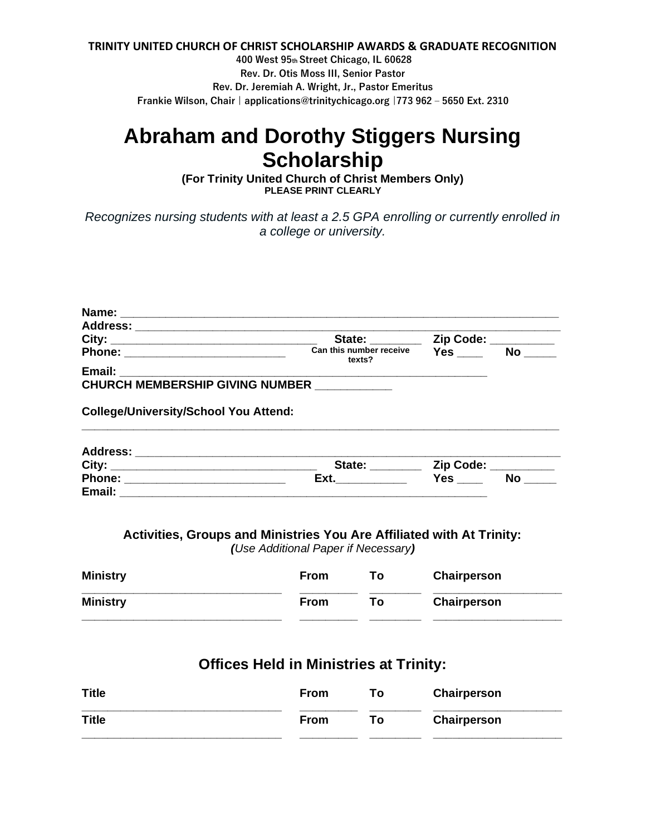### **TRINITY UNITED CHURCH OF CHRIST SCHOLARSHIP AWARDS & GRADUATE RECOGNITION**

**400 West 95th Street Chicago, IL 60628 Rev. Dr. Otis Moss III, Senior Pastor Rev. Dr. Jeremiah A. Wright, Jr., Pastor Emeritus Frankie Wilson, Chair | applications@trinitychicago.org |773 962 – 5650 Ext. 2310**

# **Abraham and Dorothy Stiggers Nursing Scholarship**

**(For Trinity United Church of Christ Members Only) PLEASE PRINT CLEARLY**

*Recognizes nursing students with at least a 2.5 GPA enrolling or currently enrolled in a college or university.*

| Address: ______________________________      |                                   |                     |                     |  |  |  |  |  |
|----------------------------------------------|-----------------------------------|---------------------|---------------------|--|--|--|--|--|
|                                              | State: ________                   | Zip Code: _________ |                     |  |  |  |  |  |
|                                              | Can this number receive<br>texts? | <b>Yes</b>          | <b>No</b>           |  |  |  |  |  |
|                                              |                                   |                     |                     |  |  |  |  |  |
| CHURCH MEMBERSHIP GIVING NUMBER __________   |                                   |                     |                     |  |  |  |  |  |
| <b>College/University/School You Attend:</b> |                                   |                     |                     |  |  |  |  |  |
|                                              |                                   |                     |                     |  |  |  |  |  |
|                                              | State: ______                     |                     | Zip Code: _________ |  |  |  |  |  |
|                                              | Ext.                              | Yes                 | No                  |  |  |  |  |  |

## **Activities, Groups and Ministries You Are Affiliated with At Trinity:**

**Email:**  $\blacksquare$ 

*(Use Additional Paper if Necessary)*

| <b>Ministry</b> | <b>From</b> | Τo | <b>Chairperson</b> |
|-----------------|-------------|----|--------------------|
| <b>Ministry</b> | <b>From</b> | Тο | Chairperson        |

# **Offices Held in Ministries at Trinity:**

| <b>Title</b> | <b>From</b> | To: | Chairperson |
|--------------|-------------|-----|-------------|
| <b>Title</b> | <b>From</b> | Т٥  | Chairperson |